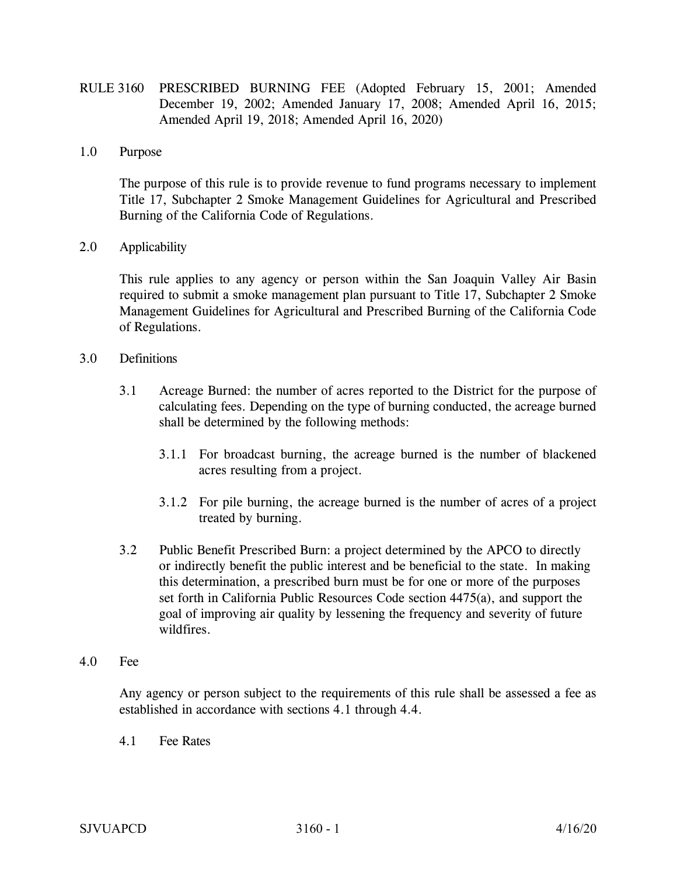- RULE 3160 PRESCRIBED BURNING FEE (Adopted February 15, 2001; Amended December 19, 2002; Amended January 17, 2008; Amended April 16, 2015; Amended April 19, 2018; Amended April 16, 2020)
- 1.0 Purpose

 The purpose of this rule is to provide revenue to fund programs necessary to implement Title 17, Subchapter 2 Smoke Management Guidelines for Agricultural and Prescribed Burning of the California Code of Regulations.

## 2.0 Applicability

 This rule applies to any agency or person within the San Joaquin Valley Air Basin required to submit a smoke management plan pursuant to Title 17, Subchapter 2 Smoke Management Guidelines for Agricultural and Prescribed Burning of the California Code of Regulations.

- 3.0 Definitions
	- 3.1 Acreage Burned: the number of acres reported to the District for the purpose of calculating fees. Depending on the type of burning conducted, the acreage burned shall be determined by the following methods:
		- 3.1.1 For broadcast burning, the acreage burned is the number of blackened acres resulting from a project.
		- 3.1.2 For pile burning, the acreage burned is the number of acres of a project treated by burning.
	- 3.2 Public Benefit Prescribed Burn: a project determined by the APCO to directly or indirectly benefit the public interest and be beneficial to the state. In making this determination, a prescribed burn must be for one or more of the purposes set forth in California Public Resources Code section 4475(a), and support the goal of improving air quality by lessening the frequency and severity of future wildfires.
- 4.0 Fee

Any agency or person subject to the requirements of this rule shall be assessed a fee as established in accordance with sections 4.1 through 4.4.

4.1 Fee Rates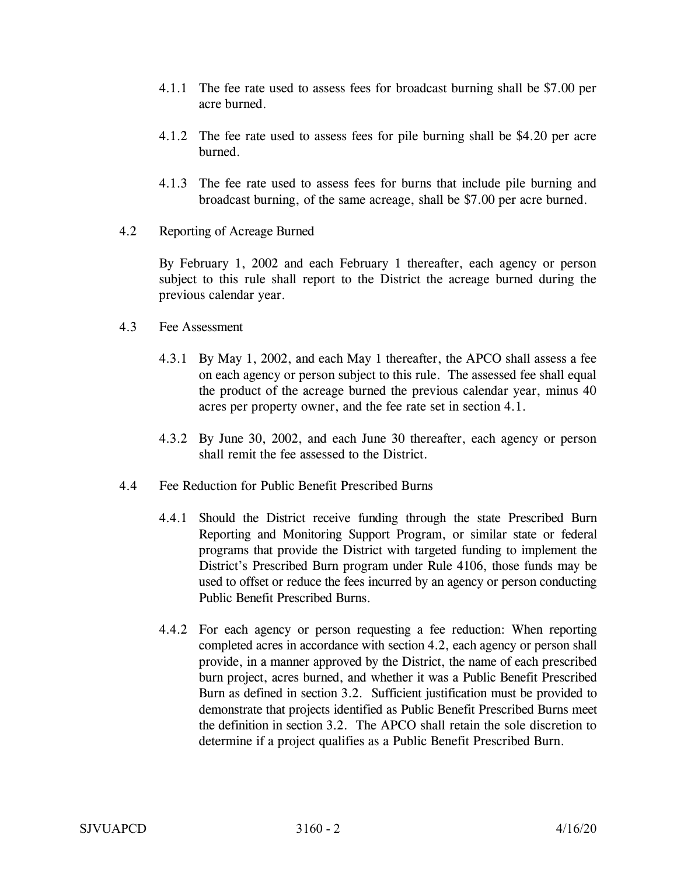- 4.1.1 The fee rate used to assess fees for broadcast burning shall be \$7.00 per acre burned.
- 4.1.2 The fee rate used to assess fees for pile burning shall be \$4.20 per acre burned.
- 4.1.3 The fee rate used to assess fees for burns that include pile burning and broadcast burning, of the same acreage, shall be \$7.00 per acre burned.
- 4.2 Reporting of Acreage Burned

 By February 1, 2002 and each February 1 thereafter, each agency or person subject to this rule shall report to the District the acreage burned during the previous calendar year.

- 4.3 Fee Assessment
	- 4.3.1 By May 1, 2002, and each May 1 thereafter, the APCO shall assess a fee on each agency or person subject to this rule. The assessed fee shall equal the product of the acreage burned the previous calendar year, minus 40 acres per property owner, and the fee rate set in section 4.1.
	- 4.3.2 By June 30, 2002, and each June 30 thereafter, each agency or person shall remit the fee assessed to the District.
- 4.4 Fee Reduction for Public Benefit Prescribed Burns
	- 4.4.1 Should the District receive funding through the state Prescribed Burn Reporting and Monitoring Support Program, or similar state or federal programs that provide the District with targeted funding to implement the District's Prescribed Burn program under Rule 4106, those funds may be used to offset or reduce the fees incurred by an agency or person conducting Public Benefit Prescribed Burns.
	- 4.4.2 For each agency or person requesting a fee reduction: When reporting completed acres in accordance with section 4.2, each agency or person shall provide, in a manner approved by the District, the name of each prescribed burn project, acres burned, and whether it was a Public Benefit Prescribed Burn as defined in section 3.2. Sufficient justification must be provided to demonstrate that projects identified as Public Benefit Prescribed Burns meet the definition in section 3.2. The APCO shall retain the sole discretion to determine if a project qualifies as a Public Benefit Prescribed Burn.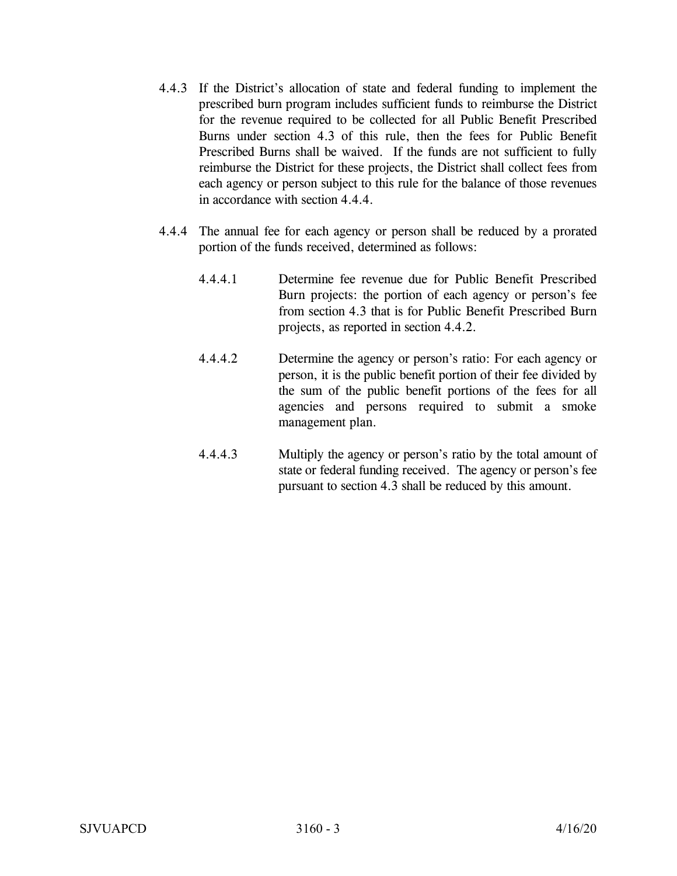- 4.4.3 If the District's allocation of state and federal funding to implement the prescribed burn program includes sufficient funds to reimburse the District for the revenue required to be collected for all Public Benefit Prescribed Burns under section 4.3 of this rule, then the fees for Public Benefit Prescribed Burns shall be waived. If the funds are not sufficient to fully reimburse the District for these projects, the District shall collect fees from each agency or person subject to this rule for the balance of those revenues in accordance with section 4.4.4.
- 4.4.4 The annual fee for each agency or person shall be reduced by a prorated portion of the funds received, determined as follows:
	- 4.4.4.1 Determine fee revenue due for Public Benefit Prescribed Burn projects: the portion of each agency or person's fee from section 4.3 that is for Public Benefit Prescribed Burn projects, as reported in section 4.4.2.
	- 4.4.4.2 Determine the agency or person's ratio: For each agency or person, it is the public benefit portion of their fee divided by the sum of the public benefit portions of the fees for all agencies and persons required to submit a smoke management plan.
	- 4.4.4.3 Multiply the agency or person's ratio by the total amount of state or federal funding received. The agency or person's fee pursuant to section 4.3 shall be reduced by this amount.